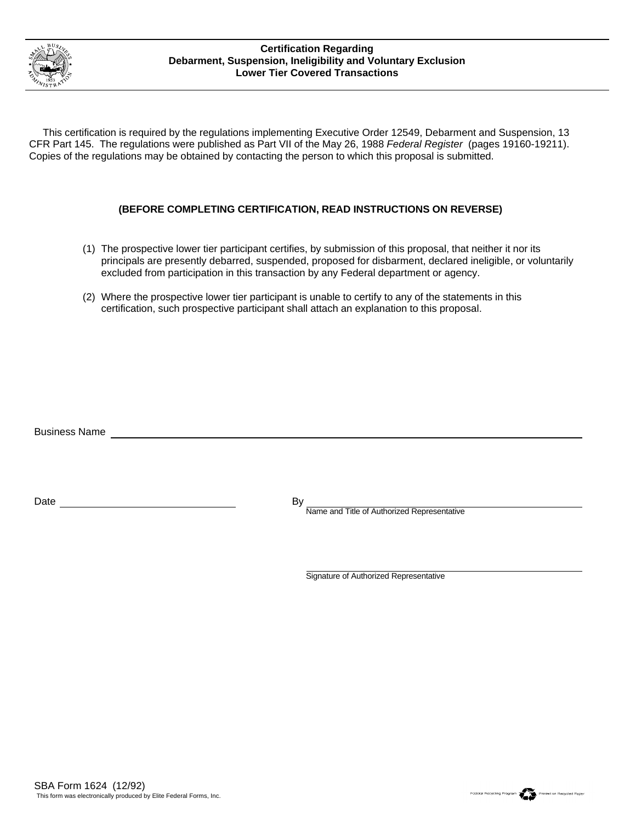

## **Certification Regarding Debarment, Suspension, Ineligibility and Voluntary Exclusion Lower Tier Covered Transactions**

 This certification is required by the regulations implementing Executive Order 12549, Debarment and Suspension, 13 CFR Part 145. The regulations were published as Part VII of the May 26, 1988 *Federal Register* (pages 19160-19211). Copies of the regulations may be obtained by contacting the person to which this proposal is submitted.

## **(BEFORE COMPLETING CERTIFICATION, READ INSTRUCTIONS ON REVERSE)**

- The prospective lower tier participant certifies, by submission of this proposal, that neither it nor its (1) principals are presently debarred, suspended, proposed for disbarment, declared ineligible, or voluntarily excluded from participation in this transaction by any Federal department or agency.
- Where the prospective lower tier participant is unable to certify to any of the statements in this (2) certification, such prospective participant shall attach an explanation to this proposal.

Business Name

Date By

Name and Title of Authorized Representative

Signature of Authorized Representative

Foderal Recycling Program<br>Printed on Recycled Paper